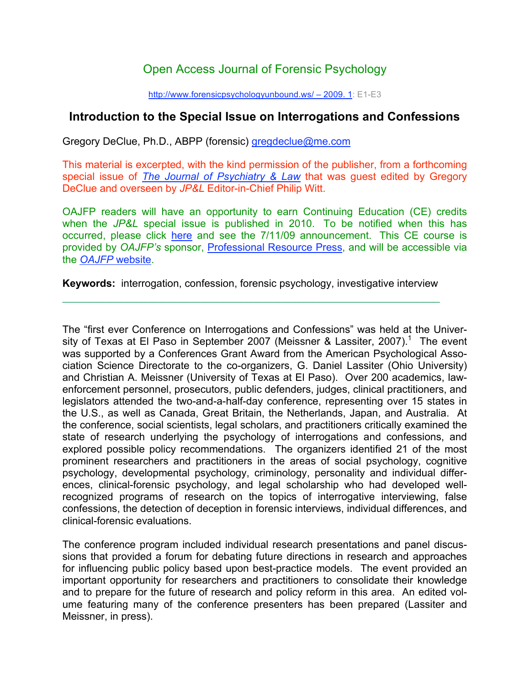## Open Access Journal of Forensic Psychology

http://www.forensicpsychologyunbound.ws/ – 2009. 1: E1-E3

## **Introduction to the Special Issue on Interrogations and Confessions**

Gregory DeClue, Ph.D., ABPP (forensic) gregdeclue@me.com

This material is excerpted, with the kind permission of the publisher, from a forthcoming special issue of *The Journal of Psychiatry & Law* that was guest edited by Gregory DeClue and overseen by *JP&L* Editor-in-Chief Philip Witt.

OAJFP readers will have an opportunity to earn Continuing Education (CE) credits when the *JP&L* special issue is published in 2010. To be notified when this has occurred, please click here and see the 7/11/09 announcement. This CE course is provided by *OAJFP's* sponsor, Professional Resource Press, and will be accessible via the *OAJFP* website.

**Keywords:** interrogation, confession, forensic psychology, investigative interview

**¯¯¯¯¯¯¯¯¯¯¯¯¯¯¯¯¯¯¯¯¯¯¯¯¯¯¯¯¯¯¯¯¯¯¯¯¯¯¯¯¯¯¯¯¯¯¯¯¯¯¯¯¯¯¯¯¯¯¯¯¯¯¯¯¯¯¯¯¯¯¯¯¯¯¯¯¯¯¯**

The "first ever Conference on Interrogations and Confessions" was held at the University of Texas at El Paso in September 2007 (Meissner & Lassiter, 2007).<sup>1</sup> The event was supported by a Conferences Grant Award from the American Psychological Association Science Directorate to the co-organizers, G. Daniel Lassiter (Ohio University) and Christian A. Meissner (University of Texas at El Paso). Over 200 academics, lawenforcement personnel, prosecutors, public defenders, judges, clinical practitioners, and legislators attended the two-and-a-half-day conference, representing over 15 states in the U.S., as well as Canada, Great Britain, the Netherlands, Japan, and Australia. At the conference, social scientists, legal scholars, and practitioners critically examined the state of research underlying the psychology of interrogations and confessions, and explored possible policy recommendations. The organizers identified 21 of the most prominent researchers and practitioners in the areas of social psychology, cognitive psychology, developmental psychology, criminology, personality and individual differences, clinical-forensic psychology, and legal scholarship who had developed wellrecognized programs of research on the topics of interrogative interviewing, false confessions, the detection of deception in forensic interviews, individual differences, and clinical-forensic evaluations.

The conference program included individual research presentations and panel discussions that provided a forum for debating future directions in research and approaches for influencing public policy based upon best-practice models. The event provided an important opportunity for researchers and practitioners to consolidate their knowledge and to prepare for the future of research and policy reform in this area. An edited volume featuring many of the conference presenters has been prepared (Lassiter and Meissner, in press).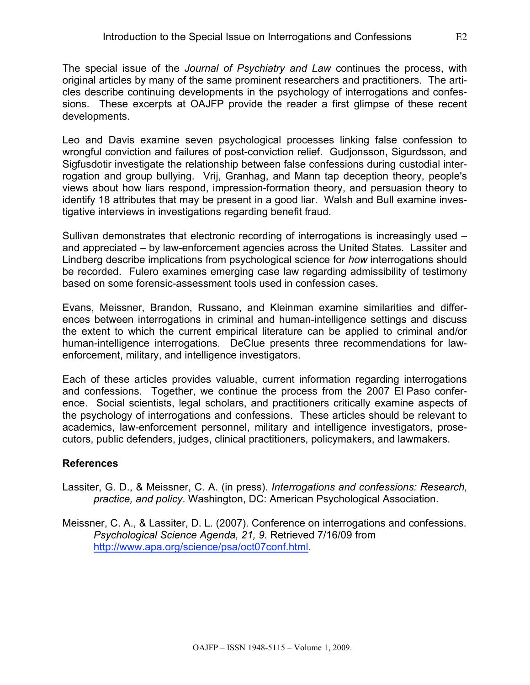The special issue of the *Journal of Psychiatry and Law* continues the process, with original articles by many of the same prominent researchers and practitioners. The articles describe continuing developments in the psychology of interrogations and confessions. These excerpts at OAJFP provide the reader a first glimpse of these recent developments.

Leo and Davis examine seven psychological processes linking false confession to wrongful conviction and failures of post-conviction relief. Gudjonsson, Sigurdsson, and Sigfusdotir investigate the relationship between false confessions during custodial interrogation and group bullying. Vrij, Granhag, and Mann tap deception theory, people's views about how liars respond, impression-formation theory, and persuasion theory to identify 18 attributes that may be present in a good liar. Walsh and Bull examine investigative interviews in investigations regarding benefit fraud.

Sullivan demonstrates that electronic recording of interrogations is increasingly used – and appreciated – by law-enforcement agencies across the United States. Lassiter and Lindberg describe implications from psychological science for *how* interrogations should be recorded. Fulero examines emerging case law regarding admissibility of testimony based on some forensic-assessment tools used in confession cases.

Evans, Meissner, Brandon, Russano, and Kleinman examine similarities and differences between interrogations in criminal and human-intelligence settings and discuss the extent to which the current empirical literature can be applied to criminal and/or human-intelligence interrogations. DeClue presents three recommendations for lawenforcement, military, and intelligence investigators.

Each of these articles provides valuable, current information regarding interrogations and confessions. Together, we continue the process from the 2007 El Paso conference. Social scientists, legal scholars, and practitioners critically examine aspects of the psychology of interrogations and confessions. These articles should be relevant to academics, law-enforcement personnel, military and intelligence investigators, prosecutors, public defenders, judges, clinical practitioners, policymakers, and lawmakers.

## **References**

- Lassiter, G. D., & Meissner, C. A. (in press). *Interrogations and confessions: Research, practice, and policy*. Washington, DC: American Psychological Association.
- Meissner, C. A., & Lassiter, D. L. (2007). Conference on interrogations and confessions. *Psychological Science Agenda, 21, 9.* Retrieved 7/16/09 from http://www.apa.org/science/psa/oct07conf.html.